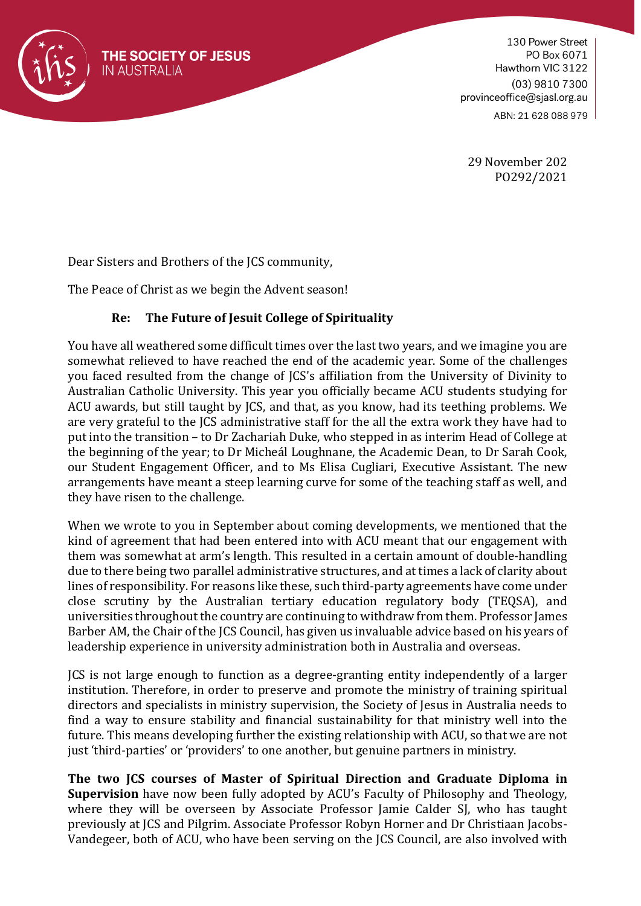

130 Power Street PO Box 6071 Hawthorn VIC 3122 (03) 9810 7300 provinceoffice@sjasl.org.au ABN: 21 628 088 979

29 November 202 PO292/2021

Dear Sisters and Brothers of the JCS community,

The Peace of Christ as we begin the Advent season!

## **Re: The Future of Jesuit College of Spirituality**

You have all weathered some difficult times over the last two years, and we imagine you are somewhat relieved to have reached the end of the academic year. Some of the challenges you faced resulted from the change of JCS's affiliation from the University of Divinity to Australian Catholic University. This year you officially became ACU students studying for ACU awards, but still taught by JCS, and that, as you know, had its teething problems. We are very grateful to the JCS administrative staff for the all the extra work they have had to put into the transition – to Dr Zachariah Duke, who stepped in as interim Head of College at the beginning of the year; to Dr Micheál Loughnane, the Academic Dean, to Dr Sarah Cook, our Student Engagement Officer, and to Ms Elisa Cugliari, Executive Assistant. The new arrangements have meant a steep learning curve for some of the teaching staff as well, and they have risen to the challenge.

When we wrote to you in September about coming developments, we mentioned that the kind of agreement that had been entered into with ACU meant that our engagement with them was somewhat at arm's length. This resulted in a certain amount of double-handling due to there being two parallel administrative structures, and at times a lack of clarity about lines of responsibility. For reasons like these, such third-party agreements have come under close scrutiny by the Australian tertiary education regulatory body (TEQSA), and universities throughout the country are continuing to withdraw from them. Professor James Barber AM, the Chair of the JCS Council, has given us invaluable advice based on his years of leadership experience in university administration both in Australia and overseas.

JCS is not large enough to function as a degree-granting entity independently of a larger institution. Therefore, in order to preserve and promote the ministry of training spiritual directors and specialists in ministry supervision, the Society of Jesus in Australia needs to find a way to ensure stability and financial sustainability for that ministry well into the future. This means developing further the existing relationship with ACU, so that we are not just 'third-parties' or 'providers' to one another, but genuine partners in ministry.

**The two JCS courses of Master of Spiritual Direction and Graduate Diploma in Supervision** have now been fully adopted by ACU's Faculty of Philosophy and Theology, where they will be overseen by Associate Professor Jamie Calder SJ, who has taught previously at JCS and Pilgrim. Associate Professor Robyn Horner and Dr Christiaan Jacobs-Vandegeer, both of ACU, who have been serving on the JCS Council, are also involved with